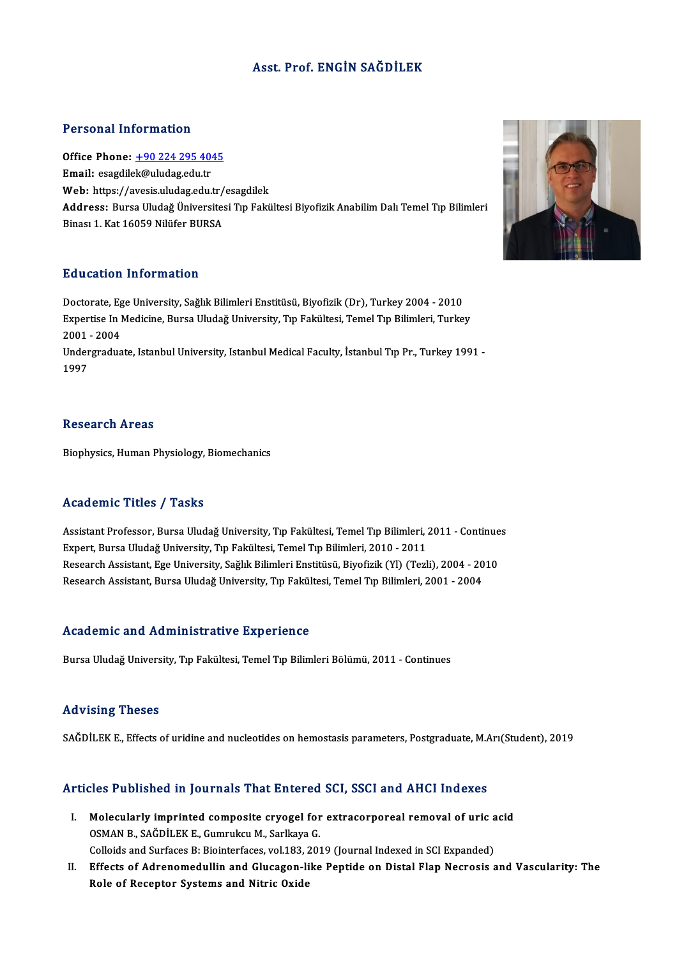### Asst. Prof. ENGİN SAĞDİLEK

### Personal Information

Personal Information<br>Office Phone: <u>+90 224 295 4045</u><br>Email: esagdilek@uludes.edu.tr 1 STOOMAT INTOTINATION<br>Office Phone: <u>+90 224 295 40</u><br>Email: esagdile[k@uludag.edu.tr](tel:+90 224 295 4045) Office Phone: <u>+90 224 295 4045</u><br>Email: esagdilek@uludag.edu.tr<br>Web: https://avesis.uludag.edu.tr/esagdilek<br>Address. Burse Uludağ Üniversitesi.Trp Fakü Email: esagdilek@uludag.edu.tr<br>Web: https://avesis.uludag.edu.tr/esagdilek<br>Address: Bursa Uludağ Üniversitesi Tıp Fakültesi Biyofizik Anabilim Dalı Temel Tıp Bilimleri<br>Binası 1, Kat 16059 Nilüfer BURSA Web: https://avesis.uludag.edu.tr/<br><mark>Address:</mark> Bursa Uludağ Üniversites<br>Binası 1. Kat 16059 Nilüfer BURSA

### Education Information

E<mark>ducation Information</mark><br>Doctorate, Ege University, Sağlık Bilimleri Enstitüsü, Biyofizik (Dr), Turkey 2004 - 2010<br>Evnettise In Medisine, Burge Uludež University, Tın Felsültesi, Temel Tın Bilimleri, Turkey Expertise In Medicine, Bursa Uludağ University, Tıp Fakültesi, Temel Tıp Bilimleri, Turkey<br>2001 - 2004 Doctorate, Eg<br>Expertise In l<br>2001 - 2004<br>Undergradue Expertise In Medicine, Bursa Uludağ University, Tıp Fakültesi, Temel Tıp Bilimleri, Turkey<br>2001 - 2004<br>Undergraduate, Istanbul University, Istanbul Medical Faculty, İstanbul Tıp Pr., Turkey 1991 -<br>1997

2001<br>Under<br>1997

### **Research Areas**

Biophysics, Human Physiology, Biomechanics

### Academic Titles / Tasks

Academic Titles / Tasks<br>Assistant Professor, Bursa Uludağ University, Tıp Fakültesi, Temel Tıp Bilimleri, 2011 - Continues<br>Evnert, Bursa Uludağ University, Tıp Fakültesi, Temel Tıp Bilimleri, 2010, 2011 ITUNUTINE TITUUT / TUDIL<br>Assistant Professor, Bursa Uludağ University, Tıp Fakültesi, Temel Tıp Bilimleri, .<br>Expert, Bursa Uludağ University, Tıp Fakültesi, Temel Tıp Bilimleri, 2010 - 2011<br>Besearsh Assistant, Ese Universi Assistant Professor, Bursa Uludağ University, Tıp Fakültesi, Temel Tıp Bilimleri, 2011 - Continue<br>Expert, Bursa Uludağ University, Tıp Fakültesi, Temel Tıp Bilimleri, 2010 - 2011<br>Research Assistant, Ege University, Sağlık Expert, Bursa Uludağ University, Tıp Fakültesi, Temel Tıp Bilimleri, 2010 - 2011<br>Research Assistant, Ege University, Sağlık Bilimleri Enstitüsü, Biyofizik (Yl) (Tezli), 2004 - 20<br>Research Assistant, Bursa Uludağ University Research Assistant, Bursa Uludağ University, Tıp Fakültesi, Temel Tıp Bilimleri, 2001 - 2004<br>Academic and Administrative Experience

Bursa Uludağ University, Tıp Fakültesi, Temel Tıp Bilimleri Bölümü, 2011 - Continues

### Advising Theses

SAĞDİLEK E., Effects of uridine and nucleotides on hemostasis parameters, Postgraduate, M.Arı(Student), 2019

# SAGDILER E., ENECts of uridine and nucleolides on nemostasis parameters, Postgraduate, M.A.<br>Articles Published in Journals That Entered SCI, SSCI and AHCI Indexes

- rticles Published in Journals That Entered SCI, SSCI and AHCI Indexes<br>I. Molecularly imprinted composite cryogel for extracorporeal removal of uric acid<br>OSMAN B. SAČDİLEKE Cummulcu M. Sarllava C Molecularly imprinted composite cryogel for<br>Molecularly imprinted composite cryogel for<br>OSMAN B., SAĞDİLEK E., Gumrukcu M., Sarlkaya G. Molecularly imprinted composite cryogel for extracorporeal removal of uric a<br>OSMAN B., SAĞDİLEK E., Gumrukcu M., Sarlkaya G.<br>Colloids and Surfaces B: Biointerfaces, vol.183, 2019 (Journal Indexed in SCI Expanded)<br>Effects o Colloids and Surfaces B: Biointerfaces, vol.183, 2019 (Journal Indexed in SCI Expanded)
- OSMAN B., SAĞDİLEK E., Gumrukcu M., Sarlkaya G.<br>Colloids and Surfaces B: Biointerfaces, vol.183, 2019 (Journal Indexed in SCI Expanded)<br>II. Effects of Adrenomedullin and Glucagon-like Peptide on Distal Flap Necrosis and Va

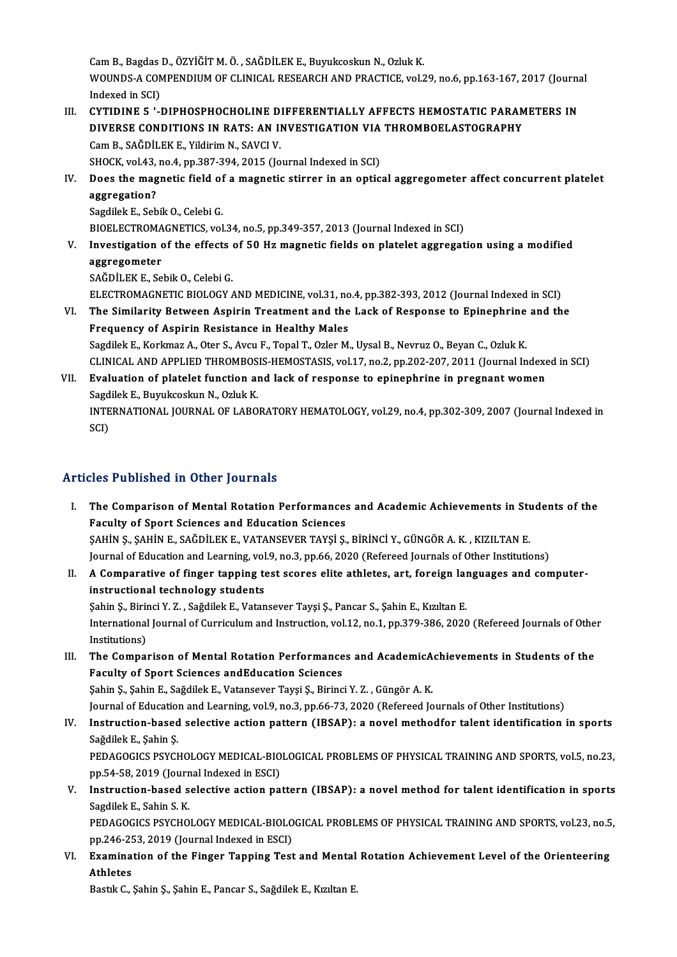Cam B., Bagdas D., ÖZYİĞİT M. Ö. , SAĞDİLEK E., Buyukcoskun N., Ozluk K.<br>WOUNDS A COMPENDUIM OF CLINICAL PESEARCH AND PRACTICE xel 3 Cam B., Bagdas D., ÖZYİĞİT M. Ö. , SAĞDİLEK E., Buyukcoskun N., Ozluk K.<br>WOUNDS-A COMPENDIUM OF CLINICAL RESEARCH AND PRACTICE, vol.29, no.6, pp.163-167, 2017 (Journal Cam B., Bagdas<br>WOUNDS-A CON<br>Indexed in SCI)<br>CYTIDINE 5 ' WOUNDS-A COMPENDIUM OF CLINICAL RESEARCH AND PRACTICE, vol.29, no.6, pp.163-167, 2017 (Journal<br>Indexed in SCI)<br>III. CYTIDINE 5 '-DIPHOSPHOCHOLINE DIFFERENTIALLY AFFECTS HEMOSTATIC PARAMETERS IN

- Indexed in SCI)<br>CYTIDINE 5 '-DIPHOSPHOCHOLINE DIFFERENTIALLY AFFECTS HEMOSTATIC PARAM<br>DIVERSE CONDITIONS IN RATS: AN INVESTIGATION VIA THROMBOELASTOGRAPHY<br>Cam B. SAČDILEK E. Vildirim N. SAVCLV CYTIDINE 5 '-DIPHOSPHOCHOLINE D.<br>DIVERSE CONDITIONS IN RATS: AN II<br>Cam B., SAĞDİLEK E., Yildirim N., SAVCI V. DIVERSE CONDITIONS IN RATS: AN INVESTIGATION VIA<br>Cam B., SAĞDİLEK E., Yildirim N., SAVCI V.<br>SHOCK, vol.43, no.4, pp.387-394, 2015 (Journal Indexed in SCI)<br>Doss the magnetic field of a magnetic stirrer in an ontic SHOCK, vol.43, no.4, pp.387-394, 2015 (Journal Indexed in SCI)
- Cam B., SAĞDİLEK E., Yildirim N., SAVCI V.<br>SHOCK, vol.43, no.4, pp.387-394, 2015 (Journal Indexed in SCI)<br>IV. Does the magnetic field of a magnetic stirrer in an optical aggregometer affect concurrent platelet<br>aggregation? aggregation?<br>Sagdilek E., Sebik O., Celebi G.<br>BIOELECTROMAGNETICS, vol.34, no.5, pp.349-357, 2013 (Journal Indexed in SCI)<br>Investigation of the effects of 50 Hg magnetis fields on platelet aggregat

Sagdilek E., Sebik O., Celebi G.

V. Investigation of the effects of 50 Hz magnetic fields on platelet aggregation using a modified aggregometer **BIOELECTROMA<br>Investigation<br>aggregometer**<br>SAČD<sup>II EV E. So</sup> SAĞDİLEK E., Sebik O., Celebi G. aggregometer<br>SAĞDİLEK E., Sebik O., Celebi G.<br>ELECTROMAGNETIC BIOLOGY AND MEDICINE, vol.31, no.4, pp.382-393, 2012 (Journal Indexed in SCI)<br>The Similarity Petusen Aspirin Treatment and the Lask of Bespense to Eninephrine a

SAĞDİLEK E., Sebik O., Celebi G.<br>ELECTROMAGNETIC BIOLOGY AND MEDICINE, vol.31, no.4, pp.382-393, 2012 (Journal Indexed in SCI)<br>VI. The Similarity Between Aspirin Treatment and the Lack of Response to Epinephrine and the<br>Fr ELECTROMAGNETIC BIOLOGY AND MEDICINE, vol.31, no<br>The Similarity Between Aspirin Treatment and the<br>Frequency of Aspirin Resistance in Healthy Males The Similarity Between Aspirin Treatment and the Lack of Response to Epinephrine<br>Frequency of Aspirin Resistance in Healthy Males<br>Sagdilek E., Korkmaz A., Oter S., Avcu F., Topal T., Ozler M., Uysal B., Nevruz O., Beyan C.

Frequency of Aspirin Resistance in Healthy Males<br>Sagdilek E., Korkmaz A., Oter S., Avcu F., Topal T., Ozler M., Uysal B., Nevruz O., Beyan C., Ozluk K.<br>CLINICAL AND APPLIED THROMBOSIS-HEMOSTASIS, vol.17, no.2, pp.202-207, Sagdilek E., Korkmaz A., Oter S., Avcu F., Topal T., Ozler M., Uysal B., Nevruz O., Beyan C., Ozluk K.<br>CLINICAL AND APPLIED THROMBOSIS-HEMOSTASIS, vol.17, no.2, pp.202-207, 2011 (Journal Indexe<br>VII. Evaluation of platelet

CLINICAL AND APPLIED THROMBOS.<br>Evaluation of platelet function are<br>Sagdilek E., Buyukcoskun N., Ozluk K.<br>INTERNATIONAL JOURNAL OF LARO. Evaluation of platelet function and lack of response to epinephrine in pregnant women<br>Sagdilek E., Buyukcoskun N., Ozluk K.<br>INTERNATIONAL JOURNAL OF LABORATORY HEMATOLOGY, vol.29, no.4, pp.302-309, 2007 (Journal Indexed in Sagdilek E., Buyukcoskun N., Ozluk K.<br>INTERNATIONAL JOURNAL OF LABORATORY HEMATOLOGY, vol.29, no.4, pp.302-309, 2007 (Journal Indexed in<br>SCI)

## Articles Published in Other Journals

- I. The Comparison of Mental Rotation Performances and Academic Achievements in Students of the Faculty of Sport Sciences and Education Sciences The Comparison of Mental Rotation Performances and Academic Achievements in Stu<br>Faculty of Sport Sciences and Education Sciences<br>ŞAHİN Ş., ŞAHİN E., SAĞDİLEK E., VATANSEVER TAYŞİ Ş., BİRİNCİ Y., GÜNGÖR A. K. , KIZILTAN E.<br> Faculty of Sport Sciences and Education Sciences<br>SAHİN Ş., ŞAHİN E., SAĞDİLEK E., VATANSEVER TAYŞİ Ş., BİRİNCİ Y., GÜNGÖR A. K. , KIZILTAN E.<br>Journal of Education and Learning, vol.9, no.3, pp.66, 2020 (Refereed Journals o SAHIN S., SAHIN E., SAĞDILEK E., VATANSEVER TAYŞI Ş., BIRINCI Y., GÜNGÖR A. K. , KIZILTAN E.<br>Journal of Education and Learning, vol.9, no.3, pp.66, 2020 (Refereed Journals of Other Institutions)<br>II. A Comparative of finger
- Journal of Education and Learning, vol.9, no.3, pp.66, 2020 (Refereed Journals of Other Institutions)<br>A Comparative of finger tapping test scores elite athletes, art, foreign languages and con<br>instructional technology stud A Comparative of finger tapping test scores elite athletes, art, foreign lai<br>instructional technology students<br>Şahin Ş., Birinci Y. Z. , Sağdilek E., Vatansever Tayşi Ş., Pancar S., Şahin E., Kızıltan E.<br>International Jour instructional technology students<br>Şahin Ş., Birinci Y. Z. , Sağdilek E., Vatansever Tayşi Ş., Pancar S., Şahin E., Kızıltan E.<br>International Journal of Curriculum and Instruction, vol.12, no.1, pp.379-386, 2020 (Refereed J Sahin S., Birii<br>International<br>Institutions)<br>The Comnai International Journal of Curriculum and Instruction, vol.12, no.1, pp.379-386, 2020 (Refereed Journals of Othe<br>Institutions)<br>III. The Comparison of Mental Rotation Performances and AcademicAchievements in Students of the<br>F
- Institutions)<br>III. The Comparison of Mental Rotation Performances and AcademicAchievements in Students of the<br>Faculty of Sport Sciences andEducation Sciences Şahin Ş., Şahin E., Sağdilek E., Vatansever Tayşi Ş., Birinci Y. Z., Güngör A. K. Journal of Education and Learning, vol.9, no.3, pp.66-73, 2020 (Refereed Journals of Other Institutions)
- Sahin Ș., Șahin E., Sağdilek E., Vatansever Tayşi Ș., Birinci Y. Z. , Güngör A. K.<br>Journal of Education and Learning, vol.9, no.3, pp.66-73, 2020 (Refereed Journals of Other Institutions)<br>IV. Instruction-based selective ac Journal of Education<br>Instruction-based<br>Sağdilek E., Şahin Ş.<br>PEDACOCICS PSYCK Instruction-based selective action pattern (IBSAP): a novel methodfor talent identification in sports<br>Sağdilek E., Şahin Ş.<br>PEDAGOGICS PSYCHOLOGY MEDICAL-BIOLOGICAL PROBLEMS OF PHYSICAL TRAINING AND SPORTS, vol.5, no.23,<br>n

Sağdilek E., Şahin Ş.<br>PEDAGOGICS PSYCHOLOGY MEDICAL-BIO<br>pp.54-58, 2019 (Journal Indexed in ESCI)<br>Instruction, based selective action ne: PEDAGOGICS PSYCHOLOGY MEDICAL-BIOLOGICAL PROBLEMS OF PHYSICAL TRAINING AND SPORTS, vol.5, no.23,<br>pp.54-58, 2019 (Journal Indexed in ESCI)<br>V. Instruction-based selective action pattern (IBSAP): a novel method for talent ide

pp.54-58, 2019 (Journ<br>Instruction-based s<br>Sagdilek E., Sahin S. K.<br>PEDACOCICS PSYCHO Instruction-based selective action pattern (IBSAP): a novel method for talent identification in sports<br>Sagdilek E., Sahin S. K.<br>PEDAGOGICS PSYCHOLOGY MEDICAL-BIOLOGICAL PROBLEMS OF PHYSICAL TRAINING AND SPORTS, vol.23, no.

Sagdilek E., Sahin S. K.<br>PEDAGOGICS PSYCHOLOGY MEDICAL-BIOLO<br>pp.246-253, 2019 (Journal Indexed in ESCI)<br>Examination of the Einger Tenning Test PEDAGOGICS PSYCHOLOGY MEDICAL-BIOLOGICAL PROBLEMS OF PHYSICAL TRAINING AND SPORTS, vol.23, no.5<br>pp.246-253, 2019 (Journal Indexed in ESCI)<br>VI. Examination of the Finger Tapping Test and Mental Rotation Achievement Level of

pp.246-25<br>Examina<br>Athletes Examination of the Finger Tapping Test and Mental<br>Athletes<br>Bastık C., Şahin Ş., Şahin E., Pancar S., Sağdilek E., Kızıltan E.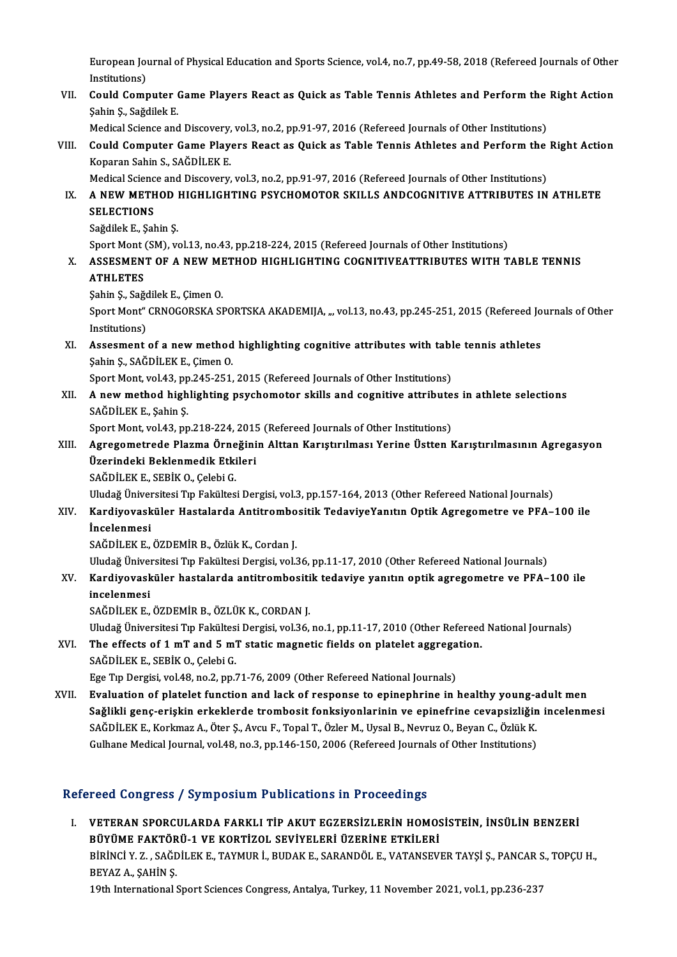European Journal of Physical Education and Sports Science, vol.4, no.7, pp.49-58, 2018 (Refereed Journals of Other<br>Institutions) European Journal<br>Institutions)<br>Could Comr European Journal of Physical Education and Sports Science, vol.4, no.7, pp.49-58, 2018 (Refereed Journals of Other<br>Institutions)<br>VII. Could Computer Game Players React as Quick as Table Tennis Athletes and Perform the Righ

Institutions)<br>VII. Could Computer Game Players React as Quick as Table Tennis Athletes and Perform the Right Action<br>Şahin Ş., Sağdilek E.

Medical Science and Discovery, vol.3, no.2, pp.91-97, 2016 (Refereed Journals of Other Institutions)

Sahin Ş., Sağdilek E.<br>Medical Science and Discovery, vol.3, no.2, pp.91-97, 2016 (Refereed Journals of Other Institutions)<br>VIII. Could Computer Game Players React as Quick as Table Tennis Athletes and Perform the Right Act Koparan Sahin S., SAĞDİLEK E. Could Computer Game Players React as Quick as Table Tennis Athletes and Perform the<br>Koparan Sahin S., SAĞDİLEK E.<br>Medical Science and Discovery, vol.3, no.2, pp.91-97, 2016 (Refereed Journals of Other Institutions)<br>A NEW M

IX. A NEW METHOD HIGHLIGHTING PSYCHOMOTOR SKILLS ANDCOGNITIVE ATTRIBUTES IN ATHLETE<br>SELECTIONS Medical Science and Discovery, vol.3, no.2, pp.91-97, 2016 (Refereed Journals of Other Institutions)

Sağdilek E, Şahin Ş.

SELECTIONS<br>Sağdilek E., Şahin Ş.<br>Sport Mont (SM), vol.13, no.43, pp.218-224, 2015 (Refereed Journals of Other Institutions)<br>ASSESMENT OF A NEW METHOD HIGHLIGHTING COONITIVEATTRIPUTTES WITH T

# X. ASSESMENT OF A NEW METHOD HIGHLIGHTING COGNITIVEATTRIBUTES WITH TABLE TENNIS<br>ATHLETES Sport Mont<br>ASSESMEN<br>ATHLETES<br>Sobin S. Soğ

ŞahinŞ.,SağdilekE.,ÇimenO.

ATHLETES<br>Şahin Ş., Sağdilek E., Çimen O.<br>Sport Mont" CRNOGORSKA SPORTSKA AKADEMIJA, ", vol.13, no.43, pp.245-251, 2015 (Refereed Journals of Other Sahin Ş., Sağo<br>Sport Mont"<br>Institutions)<br>Assement Sport Mont" CRNOGORSKA SPORTSKA AKADEMIJA, ", vol.13, no.43, pp.245-251, 2015 (Refereed Jo<br>Institutions)<br>XI. Assesment of a new method highlighting cognitive attributes with table tennis athletes<br>Sobin S. SAČDU EV E. Cimen

Institutions)<br>Assesment of a new method<br>Şahin Ş., SAĞDİLEK E., Çimen O.<br>Spert Mont vol 43. np 345.354. Assesment of a new method highlighting cognitive attributes with tabl<br>Sahin S., SAĞDİLEK E., Çimen O.<br>Sport Mont, vol.43, pp.245-251, 2015 (Refereed Journals of Other Institutions)<br>A new method bighlighting newshamator ski

Sport Mont, vol.43, pp.245-251, 2015 (Refereed Journals of Other Institutions)

Sahin Ş., SAĞDİLEK E., Çimen O.<br>Sport Mont, vol.43, pp.245-251, 2015 (Refereed Journals of Other Institutions)<br>XII. A new method highlighting psychomotor skills and cognitive attributes in athlete selections<br>SAĞDİLEK E A new method highlighting psychomotor skills and cognitive attribute<br>SAĞDİLEK E., Şahin Ş.<br>Sport Mont, vol.43, pp.218-224, 2015 (Refereed Journals of Other Institutions)<br>Agregametrade Blagma Örneğinin Alttan Karıstırılması

## SAĞDİLEK E., Şahin Ş.<br>Sport Mont, vol.43, pp.218-224, 2015 (Refereed Journals of Other Institutions)<br>XIII. Agregometrede Plazma Örneğinin Alttan Karıştırılması Yerine Üstten Karıştırılmasının Agregasyon<br>Ügenindeki Bekl Sport Mont, vol.43, pp.218-224, 2015<br>Agregometrede Plazma Örneğini<br>Üzerindeki Beklenmedik Etkileri<br>SAĞDİLEKE SERİK O-Gelebi G Agregometrede Plazma Örne<br>Üzerindeki Beklenmedik Etki<br>SAĞDİLEK E., SEBİK O., Çelebi G.<br>Uludağ Üniversitesi Tın Fekültes Üzerindeki Beklenmedik Etkileri<br>SAĞDİLEK E., SEBİK O., Çelebi G.<br>Uludağ Üniversitesi Tıp Fakültesi Dergisi, vol.3, pp.157-164, 2013 (Other Refereed National Journals)<br>Kardiyayaşküler Hastalarda Antitrambasitik TadayiyaYanı

SAĞDİLEK E., SEBİK O., Çelebi G.<br>Uludağ Üniversitesi Tıp Fakültesi Dergisi, vol.3, pp.157-164, 2013 (Other Refereed National Journals)<br>XIV. Kardiyovasküler Hastalarda Antitrombositik TedaviyeYanıtın Optik Agregometre ve PF

# Uludağ Üniver<br><mark>Kardiyovask</mark><br>İncelenmesi<br>s<u>ağnit E</u>v E

SAĞDİLEKE.,ÖZDEMİRB.,ÖzlükK.,CordanJ.

Uludağ Üniversitesi Tıp Fakültesi Dergisi, vol.36, pp.11-17, 2010 (Other Refereed National Journals)

SAĞDİLEK E., ÖZDEMİR B., Özlük K., Cordan J.<br>Uludağ Üniversitesi Tıp Fakültesi Dergisi, vol.36, pp.11-17, 2010 (Other Refereed National Journals)<br>XV. Kardiyovasküler hastalarda antitrombositik tedaviye yanıtın optik ag Uludağ Üniver<br><mark>Kardiyovask</mark><br>incelenmesi<br>s<u>ağnive</u>ve Kardiyovasküler hastalarda antitrombositi<br>incelenmesi<br>SAĞDİLEK E., ÖZDEMİR B., ÖZLÜK K., CORDAN J.<br>Uludağ Üniversitesi En Fakültesi Dersisi, val 26 incelenmesi<br>SAĞDİLEK E., ÖZDEMİR B., ÖZLÜK K., CORDAN J.<br>Uludağ Üniversitesi Tıp Fakültesi Dergisi, vol.36, no.1, pp.11-17, 2010 (Other Refereed National Journals)<br>The effects of 1 mT and 5 mT statio magnetis fielde en pla

SAĞDİLEK E., ÖZDEMİR B., ÖZLÜK K., CORDAN J.<br>Uludağ Üniversitesi Tıp Fakültesi Dergisi, vol.36, no.1, pp.11-17, 2010 (Other Refereed<br>XVI. The effects of 1 mT and 5 mT static magnetic fields on platelet aggregation. Uludağ Üniversitesi Tıp Fakültes.<br>The effects of 1 mT and 5 m'<br>SAĞDİLEK E., SEBİK 0., Çelebi G.<br>Ege Tıp Dergisi vel 48 no 2 nn 2 The effects of 1 mT and 5 mT static magnetic fields on platelet aggregation.<br>SAĞDİLEK E., SEBİK O., Çelebi G.<br>Ege Tıp Dergisi, vol.48, no.2, pp.71-76, 2009 (Other Refereed National Journals)

SAĞDİLEK E., SEBİK O., Çelebi G.<br>Ege Tıp Dergisi, vol.48, no.2, pp.71-76, 2009 (Other Refereed National Journals)<br>XVII. Evaluation of platelet function and lack of response to epinephrine in healthy young-adult men Ege Tıp Dergisi, vol.48, no.2, pp.71-76, 2009 (Other Refereed National Journals)<br>Evaluation of platelet function and lack of response to epinephrine in healthy young-adult men<br>Sağlikli genç-erişkin erkeklerde trombosit fon Evaluation of platelet function and lack of response to epinephrine in healthy young-a<br>Sağlikli genç-erişkin erkeklerde trombosit fonksiyonlarinin ve epinefrine cevapsizliğin<br>SAĞDİLEK E., Korkmaz A., Öter Ş., Avcu F., Topa Sağlikli genç-erişkin erkeklerde trombosit fonksiyonlarinin ve epinefrine cevapsizliğin<br>SAĞDİLEK E., Korkmaz A., Öter Ş., Avcu F., Topal T., Özler M., Uysal B., Nevruz O., Beyan C., Özlük K.<br>Gulhane Medical Journal, vol.48 Gulhane Medical Journal, vol.48, no.3, pp.146-150, 2006 (Refereed Journals of Other Institutions)<br>Refereed Congress / Symposium Publications in Proceedings

efereed Congress / Symposium Publications in Proceedings<br>I. VETERAN SPORCULARDA FARKLI TİP AKUT EGZERSİZLERİN HOMOSİSTEİN, İNSÜLİN BENZERİ<br>PÜVÜME FAKTÖRÜ 1 VE KORTİZOL SEVİYELERİ ÜZERİNE ETKİLERİ TUCU QUIETUSTY DJIHPUDIUM TUBIKULUMENI IN TTUKCUMEN<br>BÜYÜME FAKTÖRÜ-1 VE KORTIZOL SEVİYELERİ ÜZERİNE ETKİLERİ<br>BÜRİNCI V 7. SAĞDİLEK E. TAYMUR İ. BUDAKE, SARANDÖLE VATANSEVI VETERAN SPORCULARDA FARKLI TİP AKUT EGZERSİZLERİN HOMOSİSTEİN, İNSÜLİN BENZERİ<br>BÜYÜME FAKTÖRÜ-1 VE KORTİZOL SEVİYELERİ ÜZERİNE ETKİLERİ<br>BİRİNCİ Y. Z. , SAĞDİLEK E., TAYMUR İ., BUDAK E., SARANDÖL E., VATANSEVER TAYŞİ Ş., PA BÜYÜME FAKTÖR<br>BİRİNCİ Y. Z. , SAĞL<br>BEYAZ A., ŞAHİN Ş.<br>10th International 1 BİRİNCİ Y. Z. , SAĞDİLEK E., TAYMUR İ., BUDAK E., SARANDÖL E., VATANSEVER TAYŞİ Ş., PANCAR S<br>BEYAZ A., ŞAHİN Ş.<br>19th International Sport Sciences Congress, Antalya, Turkey, 11 November 2021, vol.1, pp.236-237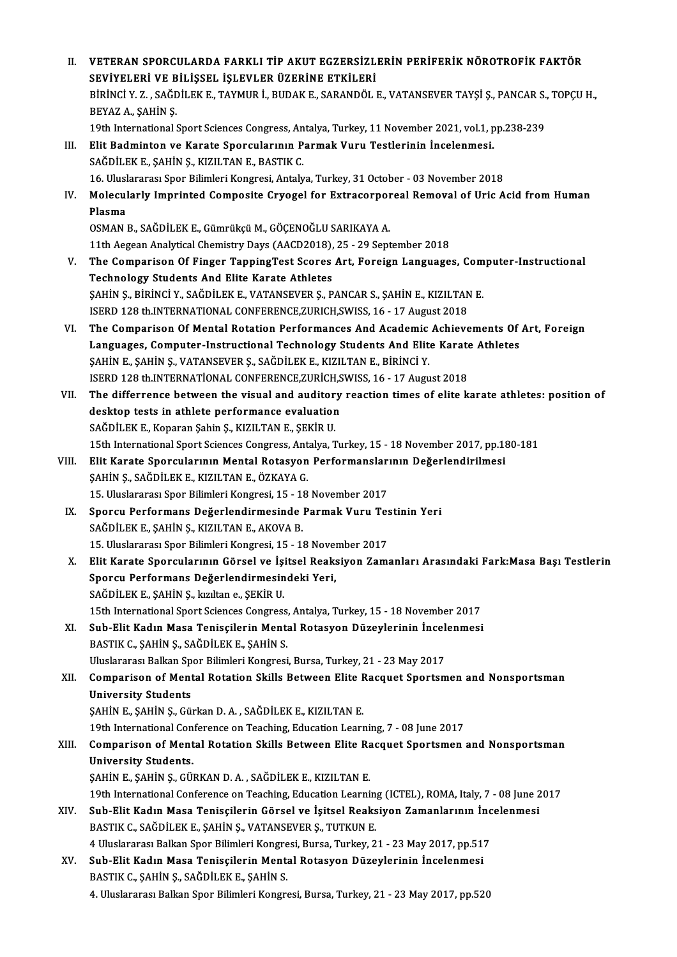| Н.    | VETERAN SPORCULARDA FARKLI TİP AKUT EGZERSİZLERİN PERİFERİK NÖROTROFİK FAKTÖR                                                                                   |
|-------|-----------------------------------------------------------------------------------------------------------------------------------------------------------------|
|       | SEVIYELERI VE BILIŞSEL İŞLEVLER ÜZERINE ETKİLERI                                                                                                                |
|       | BİRİNCİ Y. Z., SAĞDİLEK E., TAYMUR İ., BUDAK E., SARANDÖL E., VATANSEVER TAYŞİ Ş., PANCAR S., TOPÇU H.,                                                         |
|       | BEYAZ A, ŞAHİN Ş                                                                                                                                                |
|       | 19th International Sport Sciences Congress, Antalya, Turkey, 11 November 2021, vol.1, pp.238-239                                                                |
| III.  | Elit Badminton ve Karate Sporcularının Parmak Vuru Testlerinin İncelenmesi.                                                                                     |
|       | SAĞDİLEK E., ŞAHİN Ş., KIZILTAN E., BASTIK C.                                                                                                                   |
|       | 16. Uluslararası Spor Bilimleri Kongresi, Antalya, Turkey, 31 October - 03 November 2018                                                                        |
| IV.   | Molecularly Imprinted Composite Cryogel for Extracorporeal Removal of Uric Acid from Human                                                                      |
|       | Plasma                                                                                                                                                          |
|       | OSMAN B., SAĞDİLEK E., Gümrükçü M., GÖÇENOĞLU SARIKAYA A.                                                                                                       |
|       | 11th Aegean Analytical Chemistry Days (AACD2018), 25 - 29 September 2018                                                                                        |
| V.    | The Comparison Of Finger TappingTest Scores Art, Foreign Languages, Computer-Instructional                                                                      |
|       | <b>Technology Students And Elite Karate Athletes</b>                                                                                                            |
|       | ŞAHİN Ş., BİRİNCİ Y., SAĞDİLEK E., VATANSEVER Ş., PANCAR S., ŞAHİN E., KIZILTAN E.                                                                              |
|       | ISERD 128 th.INTERNATIONAL CONFERENCE, ZURICH, SWISS, 16 - 17 August 2018                                                                                       |
| VI.   | The Comparison Of Mental Rotation Performances And Academic Achievements Of Art, Foreign                                                                        |
|       | Languages, Computer-Instructional Technology Students And Elite Karate Athletes                                                                                 |
|       | ŞAHİN E., ŞAHİN Ş., VATANSEVER Ş., SAĞDİLEK E., KIZILTAN E., BİRİNCİ Y.                                                                                         |
|       | ISERD 128 th.INTERNATIONAL CONFERENCE, ZURICH, SWISS, 16 - 17 August 2018                                                                                       |
| VII.  | The differrence between the visual and auditory reaction times of elite karate athletes: position of                                                            |
|       | desktop tests in athlete performance evaluation                                                                                                                 |
|       | SAĞDİLEK E., Koparan Şahin Ş., KIZILTAN E., ŞEKİR U.                                                                                                            |
|       | 15th International Sport Sciences Congress, Antalya, Turkey, 15 - 18 November 2017, pp.180-181                                                                  |
| VIII. | Elit Karate Sporcularının Mental Rotasyon Performanslarının Değerlendirilmesi                                                                                   |
|       | ŞAHİN Ş., SAĞDİLEK E., KIZILTAN E., ÖZKAYA G.                                                                                                                   |
|       | 15. Uluslararası Spor Bilimleri Kongresi, 15 - 18 November 2017                                                                                                 |
| IX.   | Sporcu Performans Değerlendirmesinde Parmak Vuru Testinin Yeri                                                                                                  |
|       | SAĞDİLEK E., ŞAHİN Ş., KIZILTAN E., AKOVA B.                                                                                                                    |
|       | 15. Uluslararası Spor Bilimleri Kongresi, 15 - 18 November 2017                                                                                                 |
| Χ.    | Elit Karate Sporcularının Görsel ve İşitsel Reaksiyon Zamanları Arasındaki Fark:Masa Başı Testlerin                                                             |
|       | Sporcu Performans Değerlendirmesindeki Yeri,                                                                                                                    |
|       | SAĞDİLEK E., ŞAHİN Ş., kızıltan e., ŞEKİR U.                                                                                                                    |
|       | 15th International Sport Sciences Congress, Antalya, Turkey, 15 - 18 November 2017<br>Sub-Elit Kadın Masa Tenisçilerin Mental Rotasyon Düzeylerinin İncelenmesi |
| XI.   | BASTIK C., ŞAHİN Ş., SAĞDİLEK E., ŞAHİN S.                                                                                                                      |
|       | Uluslararası Balkan Spor Bilimleri Kongresi, Bursa, Turkey, 21 - 23 May 2017                                                                                    |
| XII.  | Comparison of Mental Rotation Skills Between Elite Racquet Sportsmen and Nonsportsman                                                                           |
|       | <b>University Students</b>                                                                                                                                      |
|       | ŞAHİN E., ŞAHİN Ş., Gürkan D. A., SAĞDİLEK E., KIZILTAN E.                                                                                                      |
|       | 19th International Conference on Teaching, Education Learning, 7 - 08 June 2017                                                                                 |
| XIII. | Comparison of Mental Rotation Skills Between Elite Racquet Sportsmen and Nonsportsman                                                                           |
|       | <b>University Students.</b>                                                                                                                                     |
|       | ŞAHİN E., ŞAHİN Ş., GÜRKAN D. A., SAĞDİLEK E., KIZILTAN E.                                                                                                      |
|       | 19th International Conference on Teaching, Education Learning (ICTEL), ROMA, Italy, 7 - 08 June 2017                                                            |
| XIV.  | Sub-Elit Kadın Masa Tenisçilerin Görsel ve İşitsel Reaksiyon Zamanlarının İncelenmesi                                                                           |
|       | BASTIK C., SAĞDİLEK E., ŞAHİN Ş., VATANSEVER Ş., TUTKUN E.                                                                                                      |
|       | 4 Uluslararası Balkan Spor Bilimleri Kongresi, Bursa, Turkey, 21 - 23 May 2017, pp 517                                                                          |
| XV.   | Sub-Elit Kadın Masa Tenisçilerin Mental Rotasyon Düzeylerinin İncelenmesi                                                                                       |
|       | BASTIK C., ŞAHİN Ş., SAĞDİLEK E., ŞAHİN S.                                                                                                                      |
|       | 4. Uluslararası Balkan Spor Bilimleri Kongresi, Bursa, Turkey, 21 - 23 May 2017, pp.520                                                                         |
|       |                                                                                                                                                                 |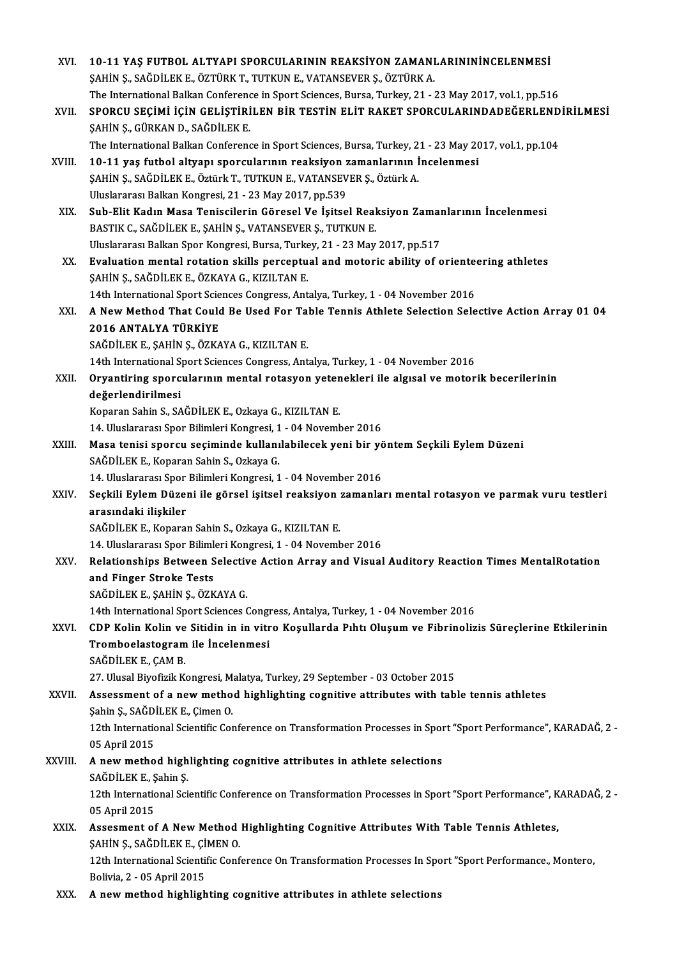| XVI.    | 10-11 YAŞ FUTBOL ALTYAPI SPORCULARININ REAKSİYON ZAMANLARININİNCELENMESİ                                                         |
|---------|----------------------------------------------------------------------------------------------------------------------------------|
|         | ŞAHİN Ş., SAĞDİLEK E., ÖZTÜRK T., TUTKUN E., VATANSEVER Ş., ÖZTÜRK A.                                                            |
|         | The International Balkan Conference in Sport Sciences, Bursa, Turkey, 21 - 23 May 2017, vol.1, pp.516                            |
| XVII.   | SPORCU SEÇİMİ İÇİN GELİŞTİRİLEN BİR TESTİN ELİT RAKET SPORCULARINDADEĞERLENDİRİLMESİ                                             |
|         | ŞAHİN Ş., GÜRKAN D., SAĞDİLEK E.                                                                                                 |
|         | The International Balkan Conference in Sport Sciences, Bursa, Turkey, 21 - 23 May 2017, vol.1, pp.104                            |
| XVIII.  | 10-11 yaş futbol altyapı sporcularının reaksiyon zamanlarının İncelenmesi                                                        |
|         | ŞAHİN Ş., SAĞDİLEK E., Öztürk T., TUTKUN E., VATANSEVER Ş., Öztürk A.                                                            |
|         | Uluslararası Balkan Kongresi, 21 - 23 May 2017, pp.539                                                                           |
| XIX.    | Sub-Elit Kadın Masa Teniscilerin Göresel Ve İşitsel Reaksiyon Zamanlarının İncelenmesi                                           |
|         | BASTIK C., SAĞDİLEK E., ŞAHİN Ş., VATANSEVER Ş., TUTKUN E.                                                                       |
|         | Uluslararası Balkan Spor Kongresi, Bursa, Turkey, 21 - 23 May 2017, pp.517                                                       |
| XX.     | Evaluation mental rotation skills perceptual and motoric ability of orienteering athletes                                        |
|         | ŞAHİN Ş., SAĞDİLEK E., ÖZKAYA G., KIZILTAN E.                                                                                    |
|         | 14th International Sport Sciences Congress, Antalya, Turkey, 1 - 04 November 2016                                                |
| XXI.    | A New Method That Could Be Used For Table Tennis Athlete Selection Selective Action Array 01 04                                  |
|         | 2016 ANTALYA TÜRKİYE                                                                                                             |
|         | SAĞDİLEK E., ŞAHİN Ş., ÖZKAYA G., KIZILTAN E.                                                                                    |
|         | 14th International Sport Sciences Congress, Antalya, Turkey, 1 - 04 November 2016                                                |
| XXII.   | Oryantiring sporcularının mental rotasyon yetenekleri ile algısal ve motorik becerilerinin<br>değerlendirilmesi                  |
|         | Koparan Sahin S., SAĞDİLEK E., Ozkaya G., KIZILTAN E.                                                                            |
|         | 14. Uluslararası Spor Bilimleri Kongresi, 1 - 04 November 2016                                                                   |
| XXIII.  | Masa tenisi sporcu seçiminde kullanılabilecek yeni bir yöntem Seçkili Eylem Düzeni                                               |
|         | SAĞDİLEK E, Koparan Sahin S, Ozkaya G.                                                                                           |
|         | 14. Uluslararası Spor Bilimleri Kongresi, 1 - 04 November 2016                                                                   |
| XXIV    | Seçkili Eylem Düzeni ile görsel işitsel reaksiyon zamanları mental rotasyon ve parmak vuru testleri                              |
|         | arasındaki ilişkiler                                                                                                             |
|         | SAĞDİLEK E., Koparan Sahin S., Ozkaya G., KIZILTAN E.                                                                            |
|         | 14. Uluslararası Spor Bilimleri Kongresi, 1 - 04 November 2016                                                                   |
| XXV     | Relationships Between Selective Action Array and Visual Auditory Reaction Times MentalRotation                                   |
|         | and Finger Stroke Tests                                                                                                          |
|         | SAĞDİLEK E., ŞAHİN Ş., ÖZKAYA G.                                                                                                 |
|         | 14th International Sport Sciences Congress, Antalya, Turkey, 1 - 04 November 2016                                                |
| XXVI.   | CDP Kolin Kolin ve Sitidin in in vitro Koşullarda Pıhtı Oluşum ve Fibrinolizis Süreçlerine Etkilerinin                           |
|         | Tromboelastogram ile Incelenmesi                                                                                                 |
|         | SAĞDİLEK E, ÇAM B                                                                                                                |
|         | 27. Ulusal Biyofizik Kongresi, Malatya, Turkey, 29 September - 03 October 2015                                                   |
| XXVII.  | Assessment of a new method highlighting cognitive attributes with table tennis athletes                                          |
|         | Şahin Ş., SAĞDİLEK E., Çimen O.                                                                                                  |
|         | 12th International Scientific Conference on Transformation Processes in Sport "Sport Performance", KARADAĞ, 2 -<br>05 April 2015 |
| XXVIII. | A new method highlighting cognitive attributes in athlete selections                                                             |
|         | SAĞDİLEK E., Şahin Ş.                                                                                                            |
|         | 12th International Scientific Conference on Transformation Processes in Sport "Sport Performance", KARADAĞ, 2 -                  |
|         | 05 April 2015                                                                                                                    |
| XXIX.   | Assesment of A New Method Highlighting Cognitive Attributes With Table Tennis Athletes,                                          |
|         | ŞAHİN Ş., SAĞDİLEK E., ÇİMEN O.                                                                                                  |
|         | 12th International Scientific Conference On Transformation Processes In Sport "Sport Performance., Montero,                      |
|         | Bolivia, 2 - 05 April 2015                                                                                                       |
| XXX.    | A new method highlighting cognitive attributes in athlete selections                                                             |
|         |                                                                                                                                  |